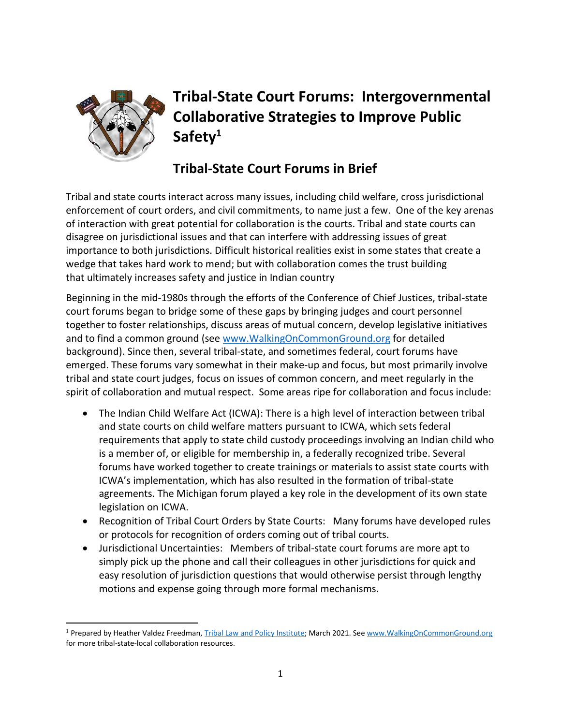

# **Tribal-State Court Forums: Intergovernmental Collaborative Strategies to Improve Public Safety<sup>1</sup>**

## **Tribal-State Court Forums in Brief**

Tribal and state courts interact across many issues, including child welfare, cross jurisdictional enforcement of court orders, and civil commitments, to name just a few. One of the key arenas of interaction with great potential for collaboration is the courts. Tribal and state courts can disagree on jurisdictional issues and that can interfere with addressing issues of great importance to both jurisdictions. Difficult historical realities exist in some states that create a wedge that takes hard work to mend; but with collaboration comes the trust building that ultimately increases safety and justice in Indian country

Beginning in the mid-1980s through the efforts of the Conference of Chief Justices, tribal-state court forums began to bridge some of these gaps by bringing judges and court personnel together to foster relationships, discuss areas of mutual concern, develop legislative initiatives and to find a common ground (see [www.WalkingOnCommonGround.org](http://www.walkingoncommonground.org/) for detailed background). Since then, several tribal-state, and sometimes federal, court forums have emerged. These forums vary somewhat in their make-up and focus, but most primarily involve tribal and state court judges, focus on issues of common concern, and meet regularly in the spirit of collaboration and mutual respect. Some areas ripe for collaboration and focus include:

- The Indian Child Welfare Act (ICWA): There is a high level of interaction between tribal and state courts on child welfare matters pursuant to ICWA, which sets federal requirements that apply to state child custody proceedings involving an Indian child who is a member of, or eligible for membership in, a federally recognized tribe. Several forums have worked together to create trainings or materials to assist state courts with ICWA's implementation, which has also resulted in the formation of tribal-state agreements. The Michigan forum played a key role in the development of its own state legislation on ICWA.
- Recognition of Tribal Court Orders by State Courts: Many forums have developed rules or protocols for recognition of orders coming out of tribal courts.
- Jurisdictional Uncertainties: Members of tribal-state court forums are more apt to simply pick up the phone and call their colleagues in other jurisdictions for quick and easy resolution of jurisdiction questions that would otherwise persist through lengthy motions and expense going through more formal mechanisms.

<sup>&</sup>lt;sup>1</sup> Prepared by Heather Valdez Freedman[, Tribal Law and Policy Institute;](http://www.home.tlpi.org/) March 2021. Se[e www.WalkingOnCommonGround.org](http://www.walkingoncommonground.org/) for more tribal-state-local collaboration resources.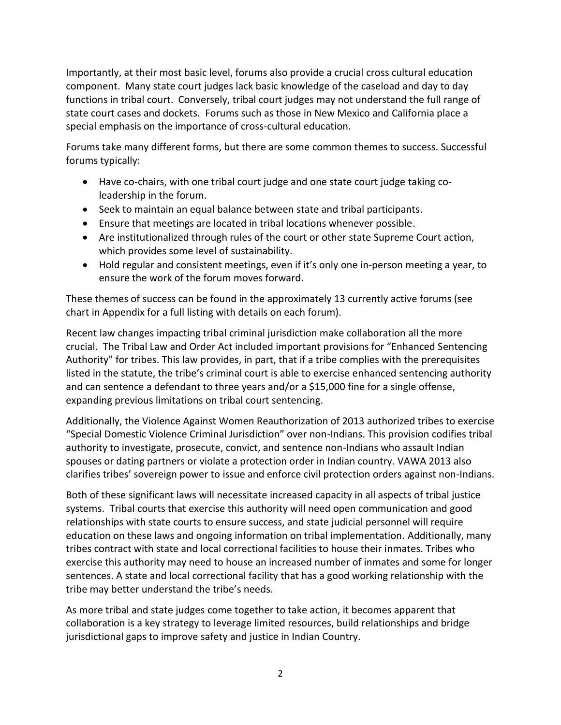Importantly, at their most basic level, forums also provide a crucial cross cultural education component. Many state court judges lack basic knowledge of the caseload and day to day functions in tribal court. Conversely, tribal court judges may not understand the full range of state court cases and dockets. Forums such as those in New Mexico and California place a special emphasis on the importance of cross-cultural education.

Forums take many different forms, but there are some common themes to success. Successful forums typically:

- Have co-chairs, with one tribal court judge and one state court judge taking coleadership in the forum.
- Seek to maintain an equal balance between state and tribal participants.
- Ensure that meetings are located in tribal locations whenever possible.
- Are institutionalized through rules of the court or other state Supreme Court action, which provides some level of sustainability.
- Hold regular and consistent meetings, even if it's only one in-person meeting a year, to ensure the work of the forum moves forward.

These themes of success can be found in the approximately 13 currently active forums (see chart in Appendix for a full listing with details on each forum).

Recent law changes impacting tribal criminal jurisdiction make collaboration all the more crucial. The Tribal Law and Order Act included important provisions for "Enhanced Sentencing Authority" for tribes. This law provides, in part, that if a tribe complies with the prerequisites listed in the statute, the tribe's criminal court is able to exercise enhanced sentencing authority and can sentence a defendant to three years and/or a \$15,000 fine for a single offense, expanding previous limitations on tribal court sentencing.

Additionally, the Violence Against Women Reauthorization of 2013 authorized tribes to exercise "Special Domestic Violence Criminal Jurisdiction" over non-Indians. This provision codifies tribal authority to investigate, prosecute, convict, and sentence non-Indians who assault Indian spouses or dating partners or violate a protection order in Indian country. VAWA 2013 also clarifies tribes' sovereign power to issue and enforce civil protection orders against non-Indians.

Both of these significant laws will necessitate increased capacity in all aspects of tribal justice systems. Tribal courts that exercise this authority will need open communication and good relationships with state courts to ensure success, and state judicial personnel will require education on these laws and ongoing information on tribal implementation. Additionally, many tribes contract with state and local correctional facilities to house their inmates. Tribes who exercise this authority may need to house an increased number of inmates and some for longer sentences. A state and local correctional facility that has a good working relationship with the tribe may better understand the tribe's needs.

As more tribal and state judges come together to take action, it becomes apparent that collaboration is a key strategy to leverage limited resources, build relationships and bridge jurisdictional gaps to improve safety and justice in Indian Country.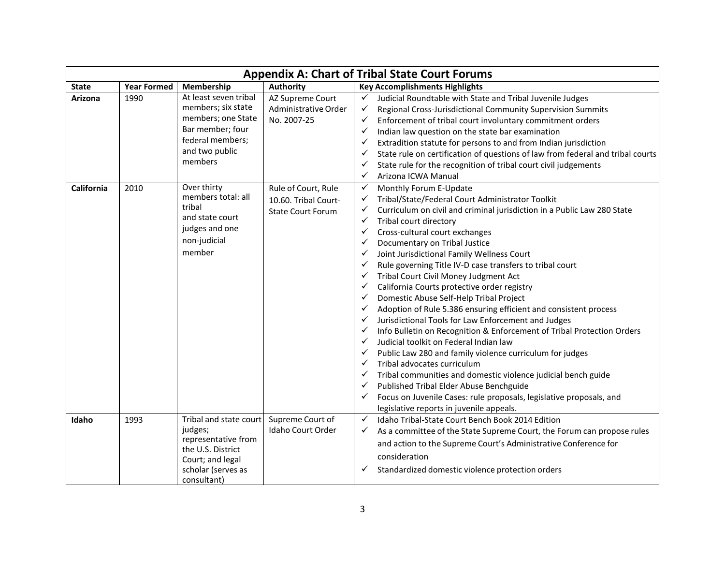|              | <b>Appendix A: Chart of Tribal State Court Forums</b> |                                                                                                                                        |                                                                         |                                                                                                                                                                                                                                                                                                                                                                                                                                                                                                                                                                                                                                                                                                                                                                                                                                                                                                                                                                                                                                                                                                                                                                                                                                                                                        |  |  |
|--------------|-------------------------------------------------------|----------------------------------------------------------------------------------------------------------------------------------------|-------------------------------------------------------------------------|----------------------------------------------------------------------------------------------------------------------------------------------------------------------------------------------------------------------------------------------------------------------------------------------------------------------------------------------------------------------------------------------------------------------------------------------------------------------------------------------------------------------------------------------------------------------------------------------------------------------------------------------------------------------------------------------------------------------------------------------------------------------------------------------------------------------------------------------------------------------------------------------------------------------------------------------------------------------------------------------------------------------------------------------------------------------------------------------------------------------------------------------------------------------------------------------------------------------------------------------------------------------------------------|--|--|
| <b>State</b> | <b>Year Formed</b>                                    | Membership                                                                                                                             | <b>Authority</b>                                                        | <b>Key Accomplishments Highlights</b>                                                                                                                                                                                                                                                                                                                                                                                                                                                                                                                                                                                                                                                                                                                                                                                                                                                                                                                                                                                                                                                                                                                                                                                                                                                  |  |  |
| Arizona      | 1990                                                  | At least seven tribal<br>members; six state<br>members; one State<br>Bar member; four<br>federal members;<br>and two public<br>members | AZ Supreme Court<br>Administrative Order<br>No. 2007-25                 | Judicial Roundtable with State and Tribal Juvenile Judges<br>$\checkmark$<br>Regional Cross-Jurisdictional Community Supervision Summits<br>✓<br>Enforcement of tribal court involuntary commitment orders<br>✓<br>$\checkmark$<br>Indian law question on the state bar examination<br>Extradition statute for persons to and from Indian jurisdiction<br>$\checkmark$<br>State rule on certification of questions of law from federal and tribal courts<br>$\checkmark$<br>State rule for the recognition of tribal court civil judgements<br>$\checkmark$<br>$\checkmark$<br>Arizona ICWA Manual                                                                                                                                                                                                                                                                                                                                                                                                                                                                                                                                                                                                                                                                                     |  |  |
| California   | 2010                                                  | Over thirty<br>members total: all<br>tribal<br>and state court<br>judges and one<br>non-judicial<br>member                             | Rule of Court, Rule<br>10.60. Tribal Court-<br><b>State Court Forum</b> | Monthly Forum E-Update<br>$\checkmark$<br>Tribal/State/Federal Court Administrator Toolkit<br>✓<br>✓<br>Curriculum on civil and criminal jurisdiction in a Public Law 280 State<br>✓<br>Tribal court directory<br>Cross-cultural court exchanges<br>✓<br>Documentary on Tribal Justice<br>$\checkmark$<br>Joint Jurisdictional Family Wellness Court<br>$\checkmark$<br>Rule governing Title IV-D case transfers to tribal court<br>$\checkmark$<br>Tribal Court Civil Money Judgment Act<br>✓<br>California Courts protective order registry<br>$\checkmark$<br>Domestic Abuse Self-Help Tribal Project<br>$\checkmark$<br>Adoption of Rule 5.386 ensuring efficient and consistent process<br>$\checkmark$<br>Jurisdictional Tools for Law Enforcement and Judges<br>$\checkmark$<br>Info Bulletin on Recognition & Enforcement of Tribal Protection Orders<br>$\checkmark$<br>Judicial toolkit on Federal Indian law<br>$\checkmark$<br>Public Law 280 and family violence curriculum for judges<br>✓<br>Tribal advocates curriculum<br>Tribal communities and domestic violence judicial bench guide<br>Published Tribal Elder Abuse Benchguide<br>$\checkmark$<br>Focus on Juvenile Cases: rule proposals, legislative proposals, and<br>legislative reports in juvenile appeals. |  |  |
| Idaho        | 1993                                                  | Tribal and state court<br>judges;<br>representative from<br>the U.S. District<br>Court; and legal<br>scholar (serves as<br>consultant) | Supreme Court of<br>Idaho Court Order                                   | Idaho Tribal-State Court Bench Book 2014 Edition<br>$\checkmark$<br>✓<br>As a committee of the State Supreme Court, the Forum can propose rules<br>and action to the Supreme Court's Administrative Conference for<br>consideration<br>Standardized domestic violence protection orders<br>✓                                                                                                                                                                                                                                                                                                                                                                                                                                                                                                                                                                                                                                                                                                                                                                                                                                                                                                                                                                                           |  |  |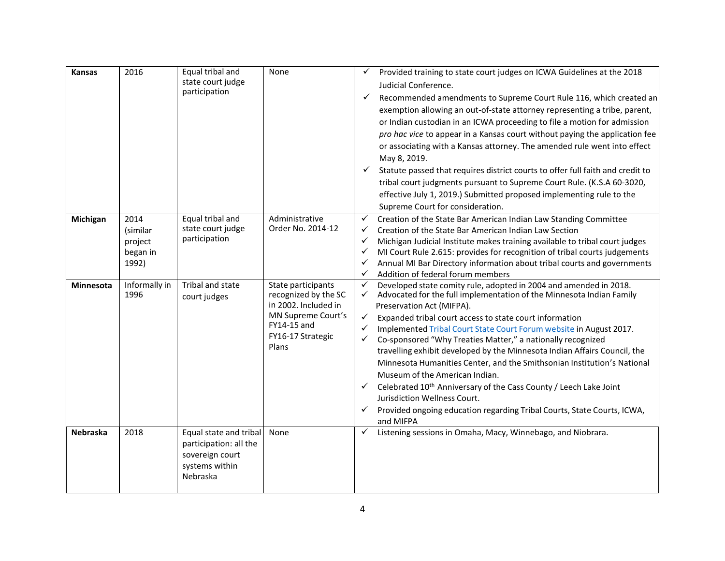| <b>Kansas</b>    | 2016                                             | Equal tribal and<br>state court judge<br>participation                                            | None                                                                                                                                  | $\checkmark$<br>$\checkmark$                                                                      | Provided training to state court judges on ICWA Guidelines at the 2018<br>Judicial Conference.<br>Recommended amendments to Supreme Court Rule 116, which created an<br>exemption allowing an out-of-state attorney representing a tribe, parent,<br>or Indian custodian in an ICWA proceeding to file a motion for admission<br>pro hac vice to appear in a Kansas court without paying the application fee<br>or associating with a Kansas attorney. The amended rule went into effect<br>May 8, 2019.<br>Statute passed that requires district courts to offer full faith and credit to<br>tribal court judgments pursuant to Supreme Court Rule. (K.S.A 60-3020,<br>effective July 1, 2019.) Submitted proposed implementing rule to the<br>Supreme Court for consideration. |
|------------------|--------------------------------------------------|---------------------------------------------------------------------------------------------------|---------------------------------------------------------------------------------------------------------------------------------------|---------------------------------------------------------------------------------------------------|----------------------------------------------------------------------------------------------------------------------------------------------------------------------------------------------------------------------------------------------------------------------------------------------------------------------------------------------------------------------------------------------------------------------------------------------------------------------------------------------------------------------------------------------------------------------------------------------------------------------------------------------------------------------------------------------------------------------------------------------------------------------------------|
| Michigan         | 2014<br>(similar<br>project<br>began in<br>1992) | Equal tribal and<br>state court judge<br>participation                                            | Administrative<br>Order No. 2014-12                                                                                                   | ✓<br>$\checkmark$<br>✓<br>✓<br>$\checkmark$<br>$\checkmark$                                       | Creation of the State Bar American Indian Law Standing Committee<br>Creation of the State Bar American Indian Law Section<br>Michigan Judicial Institute makes training available to tribal court judges<br>MI Court Rule 2.615: provides for recognition of tribal courts judgements<br>Annual MI Bar Directory information about tribal courts and governments<br>Addition of federal forum members                                                                                                                                                                                                                                                                                                                                                                            |
| <b>Minnesota</b> | Informally in<br>1996                            | Tribal and state<br>court judges                                                                  | State participants<br>recognized by the SC<br>in 2002. Included in<br>MN Supreme Court's<br>FY14-15 and<br>FY16-17 Strategic<br>Plans | $\checkmark$<br>$\checkmark$<br>$\checkmark$<br>$\checkmark$<br>$\checkmark$<br>$\checkmark$<br>✓ | Developed state comity rule, adopted in 2004 and amended in 2018.<br>Advocated for the full implementation of the Minnesota Indian Family<br>Preservation Act (MIFPA).<br>Expanded tribal court access to state court information<br>Implemented Tribal Court State Court Forum website in August 2017.<br>Co-sponsored "Why Treaties Matter," a nationally recognized<br>travelling exhibit developed by the Minnesota Indian Affairs Council, the<br>Minnesota Humanities Center, and the Smithsonian Institution's National<br>Museum of the American Indian.<br>Celebrated 10 <sup>th</sup> Anniversary of the Cass County / Leech Lake Joint<br>Jurisdiction Wellness Court.<br>Provided ongoing education regarding Tribal Courts, State Courts, ICWA,<br>and MIFPA        |
| <b>Nebraska</b>  | 2018                                             | Equal state and tribal<br>participation: all the<br>sovereign court<br>systems within<br>Nebraska | None                                                                                                                                  | $\checkmark$                                                                                      | Listening sessions in Omaha, Macy, Winnebago, and Niobrara.                                                                                                                                                                                                                                                                                                                                                                                                                                                                                                                                                                                                                                                                                                                      |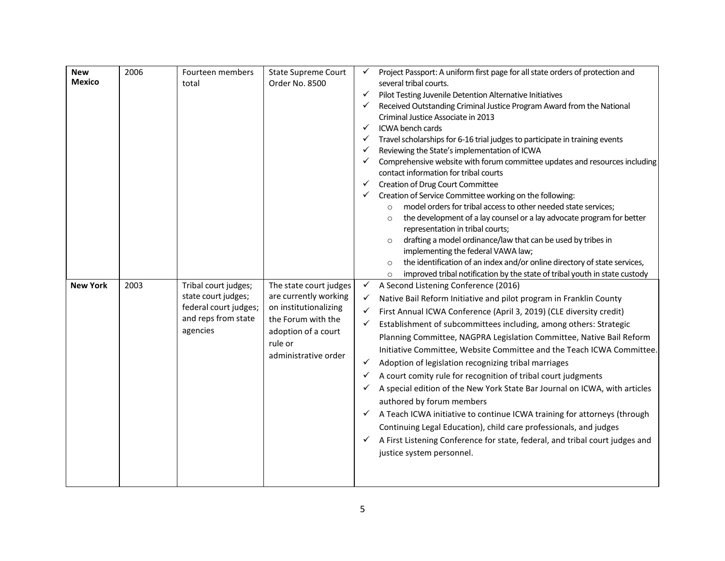| <b>New</b><br><b>Mexico</b> | 2006 | Fourteen members<br>total                                                                               | <b>State Supreme Court</b><br>Order No. 8500                                                                                                             | ✓<br>✓<br>✓<br>✓<br>✓<br>$\checkmark$<br>✓ | Project Passport: A uniform first page for all state orders of protection and<br>several tribal courts.<br>Pilot Testing Juvenile Detention Alternative Initiatives<br>Received Outstanding Criminal Justice Program Award from the National<br>Criminal Justice Associate in 2013<br>ICWA bench cards<br>Travel scholarships for 6-16 trial judges to participate in training events<br>Reviewing the State's implementation of ICWA<br>Comprehensive website with forum committee updates and resources including<br>contact information for tribal courts<br>Creation of Drug Court Committee<br>Creation of Service Committee working on the following:<br>model orders for tribal access to other needed state services;<br>$\circ$<br>the development of a lay counsel or a lay advocate program for better<br>$\circ$<br>representation in tribal courts;<br>drafting a model ordinance/law that can be used by tribes in<br>$\circ$ |
|-----------------------------|------|---------------------------------------------------------------------------------------------------------|----------------------------------------------------------------------------------------------------------------------------------------------------------|--------------------------------------------|---------------------------------------------------------------------------------------------------------------------------------------------------------------------------------------------------------------------------------------------------------------------------------------------------------------------------------------------------------------------------------------------------------------------------------------------------------------------------------------------------------------------------------------------------------------------------------------------------------------------------------------------------------------------------------------------------------------------------------------------------------------------------------------------------------------------------------------------------------------------------------------------------------------------------------------------|
|                             |      |                                                                                                         |                                                                                                                                                          |                                            | implementing the federal VAWA law;<br>the identification of an index and/or online directory of state services,<br>$\circ$<br>improved tribal notification by the state of tribal youth in state custody<br>$\circ$                                                                                                                                                                                                                                                                                                                                                                                                                                                                                                                                                                                                                                                                                                                         |
| <b>New York</b>             | 2003 | Tribal court judges;<br>state court judges;<br>federal court judges;<br>and reps from state<br>agencies | The state court judges<br>are currently working<br>on institutionalizing<br>the Forum with the<br>adoption of a court<br>rule or<br>administrative order | ✓<br>✓<br>✓<br>✓<br>✓<br>✓                 | A Second Listening Conference (2016)<br>Native Bail Reform Initiative and pilot program in Franklin County<br>First Annual ICWA Conference (April 3, 2019) (CLE diversity credit)<br>Establishment of subcommittees including, among others: Strategic<br>Planning Committee, NAGPRA Legislation Committee, Native Bail Reform<br>Initiative Committee, Website Committee and the Teach ICWA Committee.<br>Adoption of legislation recognizing tribal marriages<br>A court comity rule for recognition of tribal court judgments<br>A special edition of the New York State Bar Journal on ICWA, with articles<br>authored by forum members<br>A Teach ICWA initiative to continue ICWA training for attorneys (through<br>Continuing Legal Education), child care professionals, and judges<br>A First Listening Conference for state, federal, and tribal court judges and<br>justice system personnel.                                   |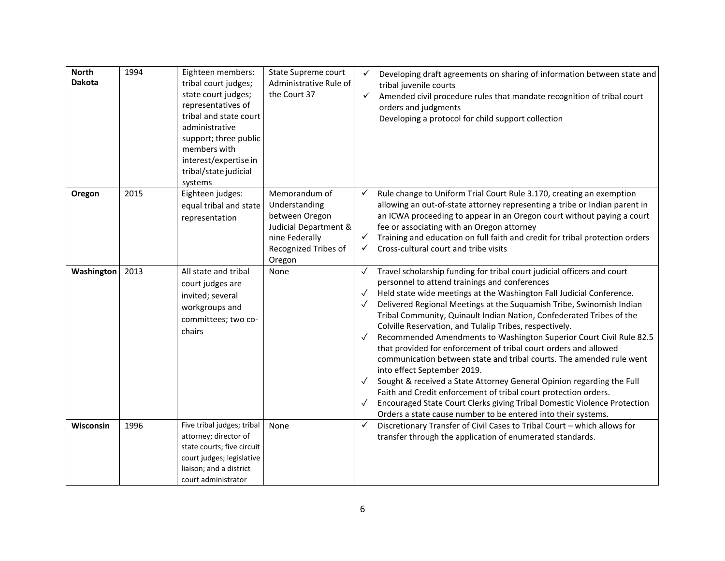| <b>North</b><br><b>Dakota</b> | 1994 | Eighteen members:<br>tribal court judges;<br>state court judges;<br>representatives of<br>tribal and state court<br>administrative<br>support; three public<br>members with<br>interest/expertise in<br>tribal/state judicial<br>systems | State Supreme court<br>Administrative Rule of<br>the Court 37                                                                 | $\checkmark$<br>$\checkmark$                                                 | Developing draft agreements on sharing of information between state and<br>tribal juvenile courts<br>Amended civil procedure rules that mandate recognition of tribal court<br>orders and judgments<br>Developing a protocol for child support collection                                                                                                                                                                                                                                                                                                                                                                                                                                                                                                                                                                                                                                                                                              |
|-------------------------------|------|------------------------------------------------------------------------------------------------------------------------------------------------------------------------------------------------------------------------------------------|-------------------------------------------------------------------------------------------------------------------------------|------------------------------------------------------------------------------|--------------------------------------------------------------------------------------------------------------------------------------------------------------------------------------------------------------------------------------------------------------------------------------------------------------------------------------------------------------------------------------------------------------------------------------------------------------------------------------------------------------------------------------------------------------------------------------------------------------------------------------------------------------------------------------------------------------------------------------------------------------------------------------------------------------------------------------------------------------------------------------------------------------------------------------------------------|
| Oregon                        | 2015 | Eighteen judges:<br>equal tribal and state<br>representation                                                                                                                                                                             | Memorandum of<br>Understanding<br>between Oregon<br>Judicial Department &<br>nine Federally<br>Recognized Tribes of<br>Oregon | $\checkmark$<br>$\checkmark$<br>✓                                            | Rule change to Uniform Trial Court Rule 3.170, creating an exemption<br>allowing an out-of-state attorney representing a tribe or Indian parent in<br>an ICWA proceeding to appear in an Oregon court without paying a court<br>fee or associating with an Oregon attorney<br>Training and education on full faith and credit for tribal protection orders<br>Cross-cultural court and tribe visits                                                                                                                                                                                                                                                                                                                                                                                                                                                                                                                                                    |
| Washington                    | 2013 | All state and tribal<br>court judges are<br>invited; several<br>workgroups and<br>committees; two co-<br>chairs                                                                                                                          | None                                                                                                                          | $\checkmark$<br>$\checkmark$<br>$\checkmark$<br>$\checkmark$<br>$\checkmark$ | Travel scholarship funding for tribal court judicial officers and court<br>personnel to attend trainings and conferences<br>Held state wide meetings at the Washington Fall Judicial Conference.<br>Delivered Regional Meetings at the Suquamish Tribe, Swinomish Indian<br>Tribal Community, Quinault Indian Nation, Confederated Tribes of the<br>Colville Reservation, and Tulalip Tribes, respectively.<br>Recommended Amendments to Washington Superior Court Civil Rule 82.5<br>that provided for enforcement of tribal court orders and allowed<br>communication between state and tribal courts. The amended rule went<br>into effect September 2019.<br>Sought & received a State Attorney General Opinion regarding the Full<br>Faith and Credit enforcement of tribal court protection orders.<br>Encouraged State Court Clerks giving Tribal Domestic Violence Protection<br>Orders a state cause number to be entered into their systems. |
| Wisconsin                     | 1996 | Five tribal judges; tribal<br>attorney; director of<br>state courts; five circuit<br>court judges; legislative<br>liaison; and a district<br>court administrator                                                                         | None                                                                                                                          | $\checkmark$                                                                 | Discretionary Transfer of Civil Cases to Tribal Court - which allows for<br>transfer through the application of enumerated standards.                                                                                                                                                                                                                                                                                                                                                                                                                                                                                                                                                                                                                                                                                                                                                                                                                  |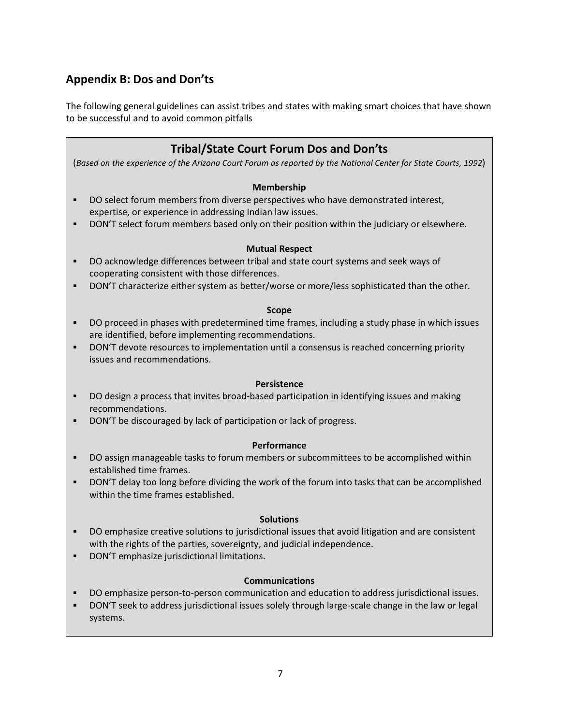## **Appendix B: Dos and Don'ts**

The following general guidelines can assist tribes and states with making smart choices that have shown to be successful and to avoid common pitfalls

## **Tribal/State Court Forum Dos and Don'ts**

(*Based on the experience of the Arizona Court Forum as reported by the [National Center for State Courts,](http://ncsc.dni.us/) 1992*)

#### **Membership**

- **DO select forum members from diverse perspectives who have demonstrated interest,** expertise, or experience in addressing Indian law issues.
- DON'T select forum members based only on their position within the judiciary or elsewhere.

#### **Mutual Respect**

- DO acknowledge differences between tribal and state court systems and seek ways of cooperating consistent with those differences.
- **DON'T characterize either system as better/worse or more/less sophisticated than the other.**

#### **Scope**

- **•** DO proceed in phases with predetermined time frames, including a study phase in which issues are identified, before implementing recommendations.
- DON'T devote resources to implementation until a consensus is reached concerning priority issues and recommendations.

#### **Persistence**

- DO design a process that invites broad-based participation in identifying issues and making recommendations.
- DON'T be discouraged by lack of participation or lack of progress.

#### **Performance**

- **•** DO assign manageable tasks to forum members or subcommittees to be accomplished within established time frames.
- **•** DON'T delay too long before dividing the work of the forum into tasks that can be accomplished within the time frames established.

#### **Solutions**

- DO emphasize creative solutions to jurisdictional issues that avoid litigation and are consistent with the rights of the parties, sovereignty, and judicial independence.
- DON'T emphasize jurisdictional limitations.

#### **Communications**

- DO emphasize person-to-person communication and education to address jurisdictional issues.
- DON'T seek to address jurisdictional issues solely through large-scale change in the law or legal systems.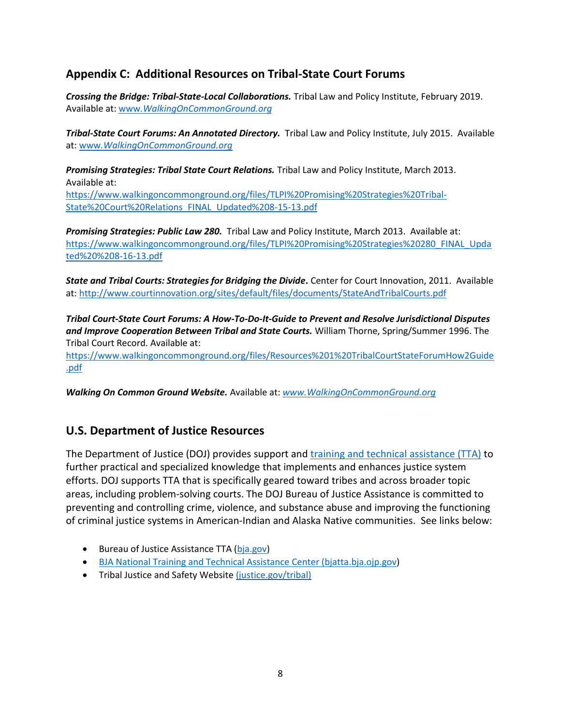## **Appendix C: Additional Resources on Tribal-State Court Forums**

*Crossing the Bridge: Tribal-State-Local Collaborations.* Tribal Law and Policy Institute, February 2019. Available at: www*[.WalkingOnCommonGround.org](http://www.walkingoncommonground.org/)*

*Tribal-State Court Forums: An Annotated Directory.* Tribal Law and Policy Institute, July 2015. Available at: www*[.WalkingOnCommonGround.org](http://www.walkingoncommonground.org/)*

*Promising Strategies: Tribal State Court Relations.* Tribal Law and Policy Institute, March 2013. Available at: [https://www.walkingoncommonground.org/files/TLPI%20Promising%20Strategies%20Tribal-](https://www.walkingoncommonground.org/files/TLPI%20Promising%20Strategies%20Tribal-State%20Court%20Relations_FINAL_Updated%208-15-13.pdf)[State%20Court%20Relations\\_FINAL\\_Updated%208-15-13.pdf](https://www.walkingoncommonground.org/files/TLPI%20Promising%20Strategies%20Tribal-State%20Court%20Relations_FINAL_Updated%208-15-13.pdf)

*Promising Strategies: Public Law 280.* Tribal Law and Policy Institute, March 2013. Available at: [https://www.walkingoncommonground.org/files/TLPI%20Promising%20Strategies%20280\\_FINAL\\_Upda](https://www.walkingoncommonground.org/files/TLPI%20Promising%20Strategies%20280_FINAL_Updated%20%208-16-13.pdf) [ted%20%208-16-13.pdf](https://www.walkingoncommonground.org/files/TLPI%20Promising%20Strategies%20280_FINAL_Updated%20%208-16-13.pdf)

*State and Tribal Courts: Strategies for Bridging the Divide***.** Center for Court Innovation, 2011. Available at:<http://www.courtinnovation.org/sites/default/files/documents/StateAndTribalCourts.pdf>

*Tribal Court-State Court Forums: A How-To-Do-It-Guide to Prevent and Resolve Jurisdictional Disputes and Improve Cooperation Between Tribal and State Courts.* William Thorne, Spring/Summer 1996. The Tribal Court Record. Available at:

[https://www.walkingoncommonground.org/files/Resources%201%20TribalCourtStateForumHow2Guide](https://www.walkingoncommonground.org/files/Resources%201%20TribalCourtStateForumHow2Guide.pdf) [.pdf](https://www.walkingoncommonground.org/files/Resources%201%20TribalCourtStateForumHow2Guide.pdf)

*Walking On Common Ground Website.* Available at: *[www.WalkingOnCommonGround.org](http://www.walkingoncommonground.org/)*

## **U.S. Department of Justice Resources**

The Department of Justice (DOJ) provides support and [training and technical assistance \(TTA\)](http://www.justice.gov/tribal/training-and-technical-assistance) to further practical and specialized knowledge that implements and enhances justice system efforts. DOJ supports TTA that is specifically geared toward tribes and across broader topic areas, including problem-solving courts. The DOJ Bureau of Justice Assistance is committed to preventing and controlling crime, violence, and substance abuse and improving the functioning of criminal justice systems in American-Indian and Alaska Native communities. See links below:

- Bureau of Justice Assistance TTA [\(bja.gov\)](https://www.bja.gov/Topic.aspx?Topic_ID=9)
- BJA National Training and Technical Assistance Center [\(bjatta.bja.ojp.gov\)](https://bjatta.bja.ojp.gov/)
- Tribal Justice and Safety Website [\(justice.gov/tribal\)](file:///C:/Users/heather/AppData/Local/Microsoft/Windows/INetCache/Content.Outlook/243ON0TY/(justice.gov/tribal)